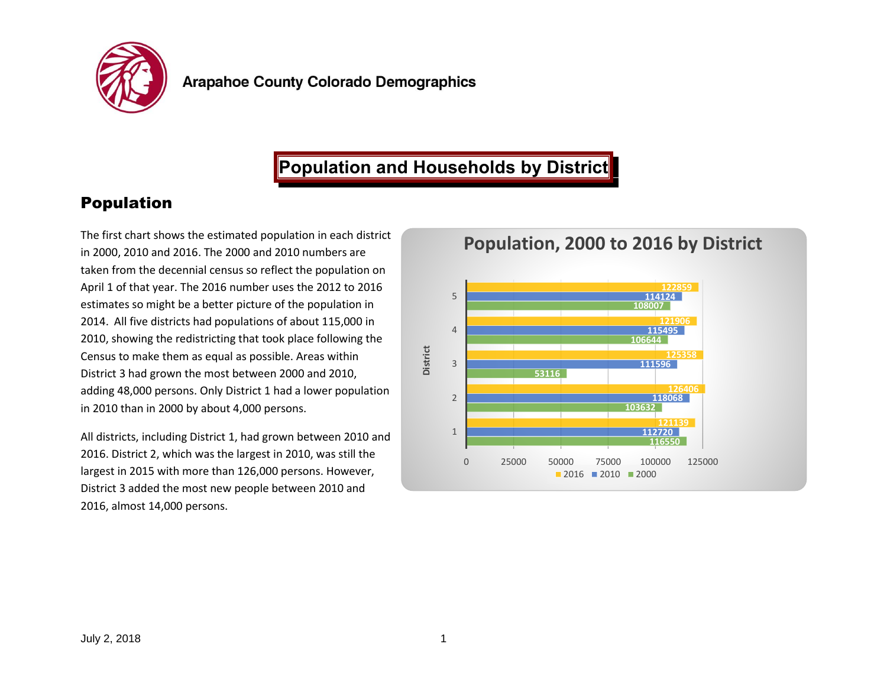

# **Population and Households by District**

## Population

The first chart shows the estimated population in each district in 2000, 2010 and 2016. The 2000 and 2010 numbers are taken from the decennial census so reflect the population on April 1 of that year. The 2016 number uses the 2012 to 2016 estimates so might be a better picture of the population in 2014. All five districts had populations of about 115,000 in 2010, showing the redistricting that took place following the Census to make them as equal as possible. Areas within District 3 had grown the most between 2000 and 2010, adding 48,000 persons. Only District 1 had a lower population in 2010 than in 2000 by about 4,000 persons.

All districts, including District 1, had grown between 2010 and 2016. District 2, which was the largest in 2010, was still the largest in 2015 with more than 126,000 persons. However, District 3 added the most new people between 2010 and 2016, almost 14,000 persons.

**Population, 2000 to 2016 by District**

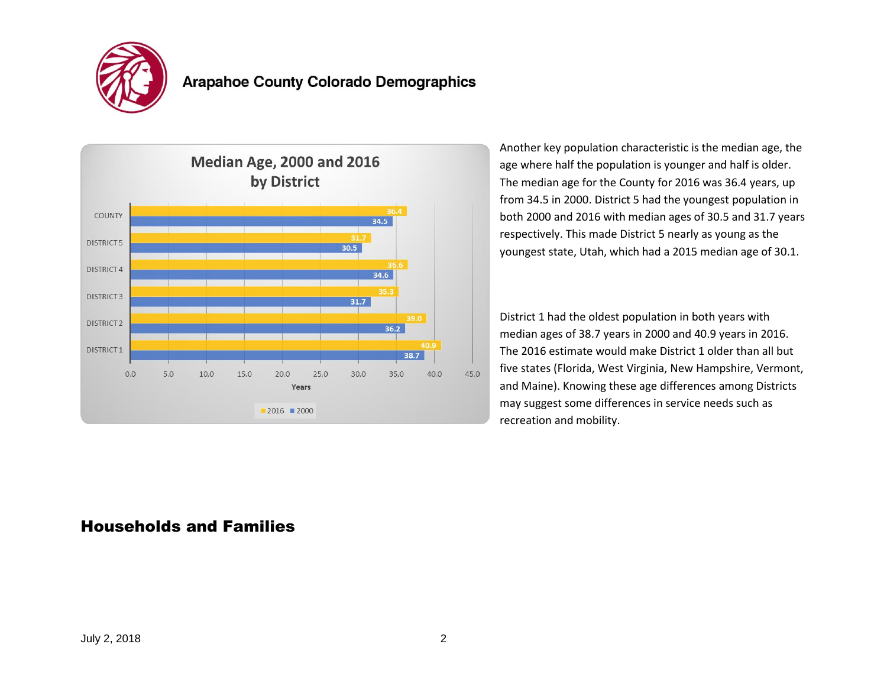

### **Arapahoe County Colorado Demographics**



Another key population characteristic is the median age, the age where half the population is younger and half is older. The median age for the County for 2016 was 36.4 years, up from 34.5 in 2000. District 5 had the youngest population in both 2000 and 2016 with median ages of 30.5 and 31.7 years respectively. This made District 5 nearly as young as the youngest state, Utah, which had a 2015 median age of 30.1.

District 1 had the oldest population in both years with median ages of 38.7 years in 2000 and 40.9 years in 2016. The 2016 estimate would make District 1 older than all but five states (Florida, West Virginia, New Hampshire, Vermont, and Maine). Knowing these age differences among Districts may suggest some differences in service needs such as recreation and mobility.

#### Households and Families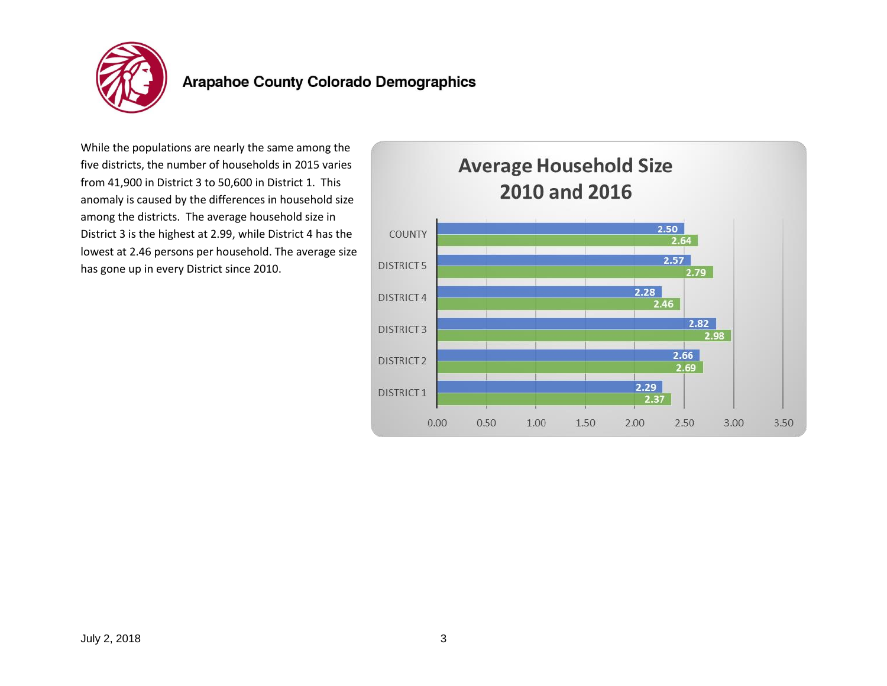

# **Arapahoe County Colorado Demographics**

While the populations are nearly the same among the five districts, the number of households in 2015 varies from 41,900 in District 3 to 50,600 in District 1. This anomaly is caused by the differences in household size among the districts. The average household size in District 3 is the highest at 2.99, while District 4 has the lowest at 2.46 persons per household. The average size has gone up in every District since 2010.